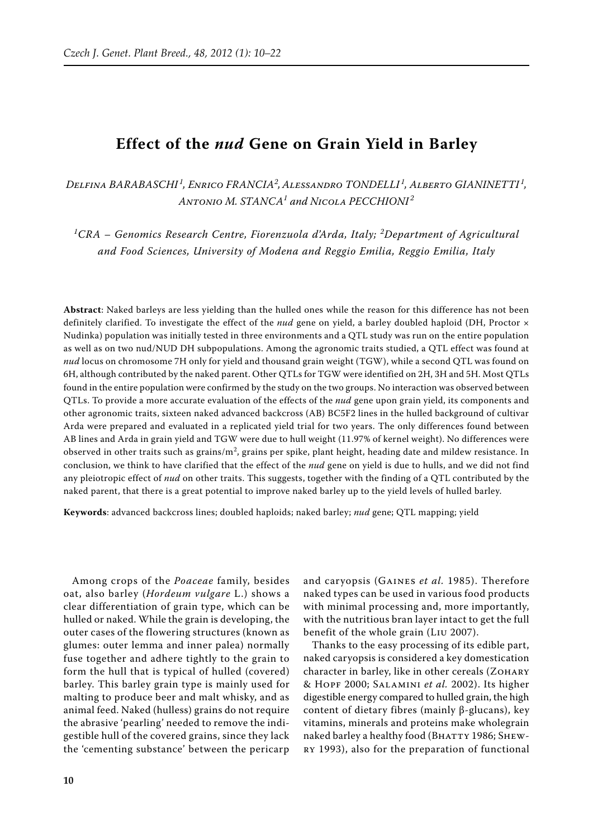# **Effect of the** *nud* **Gene on Grain Yield in Barley**

*Delfina Barabaschi <sup>1</sup> , Enrico francia<sup>2</sup> ,Alessandro TONDELLI <sup>1</sup> , Alberto GIANINETTI <sup>1</sup> , Antonio M. STANCA<sup>1</sup> and Nicola PECCHIONI <sup>2</sup>*

<sup>1</sup>CRA – Genomics Research Centre, Fiorenzuola d'Arda, Italy; <sup>2</sup>Department of Agricultural *and Food Sciences, University of Modena and Reggio Emilia, Reggio Emilia, Italy*

**Abstract**: Naked barleys are less yielding than the hulled ones while the reason for this difference has not been definitely clarified. To investigate the effect of the *nud* gene on yield, a barley doubled haploid (DH, Proctor × Nudinka) population was initially tested in three environments and a QTL study was run on the entire population as well as on two nud/NUD DH subpopulations. Among the agronomic traits studied, a QTL effect was found at *nud* locus on chromosome 7H only for yield and thousand grain weight (TGW), while a second QTL was found on 6H, although contributed by the naked parent. Other QTLs for TGW were identified on 2H, 3H and 5H. Most QTLs found in the entire population were confirmed by the study on the two groups. No interaction was observed between QTLs. To provide a more accurate evaluation of the effects of the *nud* gene upon grain yield, its components and other agronomic traits, sixteen naked advanced backcross (AB) BC5F2 lines in the hulled background of cultivar Arda were prepared and evaluated in a replicated yield trial for two years. The only differences found between AB lines and Arda in grain yield and TGW were due to hull weight (11.97% of kernel weight). No differences were observed in other traits such as grains/m $^2$ , grains per spike, plant height, heading date and mildew resistance. In conclusion, we think to have clarified that the effect of the *nud* gene on yield is due to hulls, and we did not find any pleiotropic effect of *nud* on other traits. This suggests, together with the finding of a QTL contributed by the naked parent, that there is a great potential to improve naked barley up to the yield levels of hulled barley.

**Keywords**: advanced backcross lines; doubled haploids; naked barley; *nud* gene; QTL mapping; yield

Among crops of the *Poaceae* family, besides oat, also barley (*Hordeum vulgare* L.) shows a clear differentiation of grain type, which can be hulled or naked. While the grain is developing, the outer cases of the flowering structures (known as glumes: outer lemma and inner palea) normally fuse together and adhere tightly to the grain to form the hull that is typical of hulled (covered) barley. This barley grain type is mainly used for malting to produce beer and malt whisky, and as animal feed. Naked (hulless) grains do not require the abrasive 'pearling' needed to remove the indigestible hull of the covered grains, since they lack the 'cementing substance' between the pericarp

and caryopsis (Gaines *et al.* 1985). Therefore naked types can be used in various food products with minimal processing and, more importantly, with the nutritious bran layer intact to get the full benefit of the whole grain (Liu 2007).

Thanks to the easy processing of its edible part, naked caryopsis is considered a key domestication character in barley, like in other cereals (ZOHARY & Hopf 2000; Salamini *et al.* 2002). Its higher digestible energy compared to hulled grain, the high content of dietary fibres (mainly β-glucans), key vitamins, minerals and proteins make wholegrain naked barley a healthy food (BHATTY 1986; SHEWry 1993), also for the preparation of functional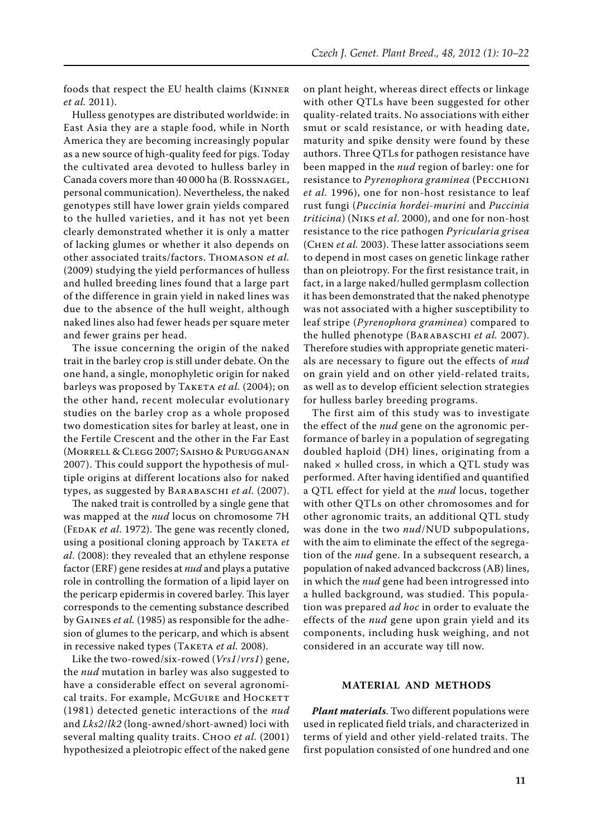foods that respect the EU health claims (Kinner *et al.* 2011).

Hulless genotypes are distributed worldwide: in East Asia they are a staple food, while in North America they are becoming increasingly popular as a new source of high-quality feed for pigs. Today the cultivated area devoted to hulless barley in Canada covers more than 40 000 ha (B. Rossnagel, personal communication). Nevertheless, the naked genotypes still have lower grain yields compared to the hulled varieties, and it has not yet been clearly demonstrated whether it is only a matter of lacking glumes or whether it also depends on other associated traits/factors. Thomason *et al.* (2009) studying the yield performances of hulless and hulled breeding lines found that a large part of the difference in grain yield in naked lines was due to the absence of the hull weight, although naked lines also had fewer heads per square meter and fewer grains per head.

The issue concerning the origin of the naked trait in the barley crop is still under debate. On the one hand, a single, monophyletic origin for naked barleys was proposed by TAKETA et al. (2004); on the other hand, recent molecular evolutionary studies on the barley crop as a whole proposed two domestication sites for barley at least, one in the Fertile Crescent and the other in the Far East (Morrell & Clegg 2007; Saisho & Purugganan 2007). This could support the hypothesis of multiple origins at different locations also for naked types, as suggested by Barabaschi *et al.* (2007).

The naked trait is controlled by a single gene that was mapped at the *nud* locus on chromosome 7H (FEDAK *et al.* 1972). The gene was recently cloned, using a positional cloning approach by TAKETA et *al*. (2008): they revealed that an ethylene response factor (ERF) gene resides at *nud* and plays a putative role in controlling the formation of a lipid layer on the pericarp epidermis in covered barley. This layer corresponds to the cementing substance described by GAINES *et al.* (1985) as responsible for the adhesion of glumes to the pericarp, and which is absent in recessive naked types (TAKETA et al. 2008).

Like the two-rowed/six-rowed (*Vrs1*/*vrs1*) gene, the *nud* mutation in barley was also suggested to have a considerable effect on several agronomical traits. For example, McGUIRE and HOCKETT (1981) detected genetic interactions of the *nud* and *Lks2*/*lk2* (long-awned/short-awned) loci with several malting quality traits. Choo *et al.* (2001) hypothesized a pleiotropic effect of the naked gene

on plant height, whereas direct effects or linkage with other QTLs have been suggested for other quality-related traits. No associations with either smut or scald resistance, or with heading date, maturity and spike density were found by these authors. Three QTLs for pathogen resistance have been mapped in the *nud* region of barley: one for resistance to *Pyrenophora graminea* (Pecchioni *et al.* 1996), one for non-host resistance to leaf rust fungi (*Puccinia hordei-murini* and *Puccinia triticina*) (Niks *et al*. 2000), and one for non-host resistance to the rice pathogen *Pyricularia grisea* (Chen *et al.* 2003). These latter associations seem to depend in most cases on genetic linkage rather than on pleiotropy. For the first resistance trait, in fact, in a large naked/hulled germplasm collection it has been demonstrated that the naked phenotype was not associated with a higher susceptibility to leaf stripe (*Pyrenophora graminea*) compared to the hulled phenotype (Barabaschi *et al.* 2007). Therefore studies with appropriate genetic materials are necessary to figure out the effects of *nud* on grain yield and on other yield-related traits, as well as to develop efficient selection strategies for hulless barley breeding programs.

The first aim of this study was to investigate the effect of the *nud* gene on the agronomic performance of barley in a population of segregating doubled haploid (DH) lines, originating from a naked  $\times$  hulled cross, in which a QTL study was performed. After having identified and quantified a QTL effect for yield at the *nud* locus, together with other QTLs on other chromosomes and for other agronomic traits, an additional QTL study was done in the two *nud*/NUD subpopulations, with the aim to eliminate the effect of the segregation of the *nud* gene. In a subsequent research, a population of naked advanced backcross (AB) lines, in which the *nud* gene had been introgressed into a hulled background, was studied. This population was prepared *ad hoc* in order to evaluate the effects of the *nud* gene upon grain yield and its components, including husk weighing, and not considered in an accurate way till now.

## **MATERIAL AND METHODS**

*Plant materials*. Two different populations were used in replicated field trials, and characterized in terms of yield and other yield-related traits. The first population consisted of one hundred and one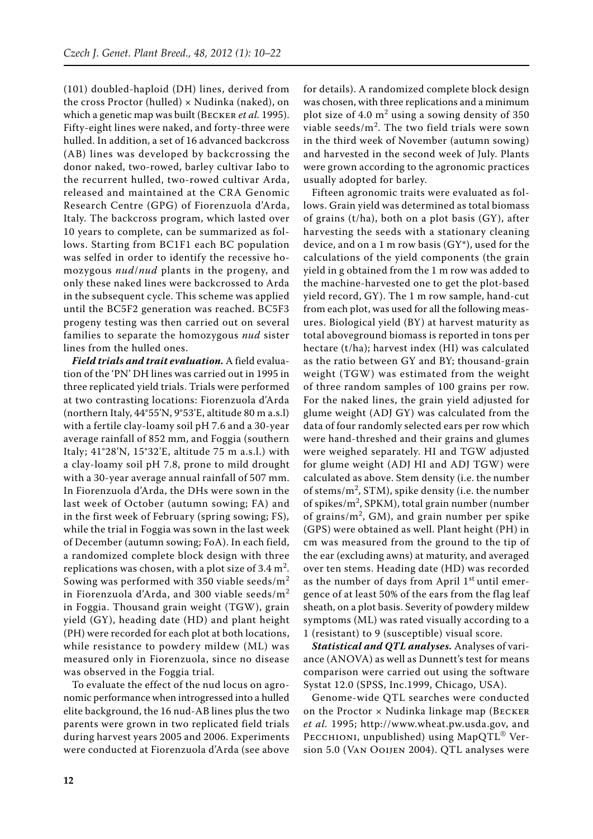(101) doubled-haploid (DH) lines, derived from the cross Proctor (hulled) × Nudinka (naked), on which a genetic map was built (Becker *et al.* 1995). Fifty-eight lines were naked, and forty-three were hulled. In addition, a set of 16 advanced backcross (AB) lines was developed by backcrossing the donor naked, two-rowed, barley cultivar Iabo to the recurrent hulled, two-rowed cultivar Arda, released and maintained at the CRA Genomic Research Centre (GPG) of Fiorenzuola d'Arda, Italy. The backcross program, which lasted over 10 years to complete, can be summarized as follows. Starting from BC1F1 each BC population was selfed in order to identify the recessive homozygous *nud*/*nud* plants in the progeny, and only these naked lines were backcrossed to Arda in the subsequent cycle. This scheme was applied until the BC5F2 generation was reached. BC5F3 progeny testing was then carried out on several families to separate the homozygous *nud* sister lines from the hulled ones.

*Field trials and trait evaluation.* A field evaluation of the 'PN' DH lines was carried out in 1995 in three replicated yield trials. Trials were performed at two contrasting locations: Fiorenzuola d'Arda (northern Italy, 44°55'N, 9°53'E, altitude 80 m a.s.l) with a fertile clay-loamy soil pH 7.6 and a 30-year average rainfall of 852 mm, and Foggia (southern Italy; 41°28'N, 15°32'E, altitude 75 m a.s.l.) with a clay-loamy soil pH 7.8, prone to mild drought with a 30-year average annual rainfall of 507 mm. In Fiorenzuola d'Arda, the DHs were sown in the last week of October (autumn sowing; FA) and in the first week of February (spring sowing; FS), while the trial in Foggia was sown in the last week of December (autumn sowing; FoA). In each field, a randomized complete block design with three replications was chosen, with a plot size of  $3.4 \text{ m}^2$ . Sowing was performed with 350 viable seeds/m<sup>2</sup> in Fiorenzuola d'Arda, and 300 viable seeds/ $m<sup>2</sup>$ in Foggia. Thousand grain weight (TGW), grain yield (GY), heading date (HD) and plant height (PH) were recorded for each plot at both locations, while resistance to powdery mildew (ML) was measured only in Fiorenzuola, since no disease was observed in the Foggia trial.

To evaluate the effect of the nud locus on agronomic performance when introgressed into a hulled elite background, the 16 nud-AB lines plus the two parents were grown in two replicated field trials during harvest years 2005 and 2006. Experiments were conducted at Fiorenzuola d'Arda (see above for details). A randomized complete block design was chosen, with three replications and a minimum plot size of  $4.0 \text{ m}^2$  using a sowing density of 350 viable seeds/ $m^2$ . The two field trials were sown in the third week of November (autumn sowing) and harvested in the second week of July. Plants were grown according to the agronomic practices usually adopted for barley.

Fifteen agronomic traits were evaluated as follows. Grain yield was determined as total biomass of grains (t/ha), both on a plot basis (GY), after harvesting the seeds with a stationary cleaning device, and on a 1 m row basis (GY\*), used for the calculations of the yield components (the grain yield in g obtained from the 1 m row was added to the machine-harvested one to get the plot-based yield record, GY). The 1 m row sample, hand-cut from each plot, was used for all the following measures. Biological yield (BY) at harvest maturity as total aboveground biomass is reported in tons per hectare (t/ha); harvest index (HI) was calculated as the ratio between GY and BY; thousand-grain weight (TGW) was estimated from the weight of three random samples of 100 grains per row. For the naked lines, the grain yield adjusted for glume weight (ADJ GY) was calculated from the data of four randomly selected ears per row which were hand-threshed and their grains and glumes were weighed separately. HI and TGW adjusted for glume weight (ADJ HI and ADJ TGW) were calculated as above. Stem density (i.e. the number of stems/ $m^2$ , STM), spike density (i.e. the number of spikes/m<sup>2</sup>, SPKM), total grain number (number of grains/ $m^2$ , GM), and grain number per spike (GPS) were obtained as well. Plant height (PH) in cm was measured from the ground to the tip of the ear (excluding awns) at maturity, and averaged over ten stems. Heading date (HD) was recorded as the number of days from April 1<sup>st</sup> until emergence of at least 50% of the ears from the flag leaf sheath, on a plot basis. Severity of powdery mildew symptoms (ML) was rated visually according to a 1 (resistant) to 9 (susceptible) visual score.

*Statistical and QTL analyses.* Analyses of variance (ANOVA) as well as Dunnett's test for means comparison were carried out using the software Systat 12.0 (SPSS, Inc.1999, Chicago, USA).

Genome-wide QTL searches were conducted on the Proctor  $\times$  Nudinka linkage map (BECKER *et al.* 1995; http://www.wheat.pw.usda.gov, and PECCHIONI, unpublished) using MapQTL<sup>®</sup> Version 5.0 (Van Ooijen 2004). QTL analyses were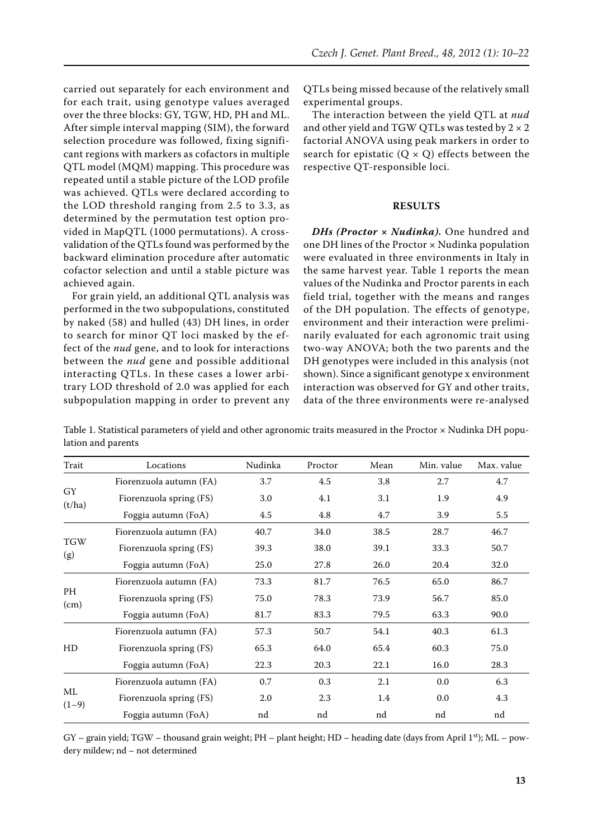carried out separately for each environment and for each trait, using genotype values averaged over the three blocks: GY, TGW, HD, PH and ML. After simple interval mapping (SIM), the forward selection procedure was followed, fixing significant regions with markers as cofactors in multiple QTL model (MQM) mapping. This procedure was repeated until a stable picture of the LOD profile was achieved. QTLs were declared according to the LOD threshold ranging from 2.5 to 3.3, as determined by the permutation test option provided in MapQTL (1000 permutations). A crossvalidation of the QTLs found was performed by the backward elimination procedure after automatic cofactor selection and until a stable picture was achieved again.

For grain yield, an additional QTL analysis was performed in the two subpopulations, constituted by naked (58) and hulled (43) DH lines, in order to search for minor QT loci masked by the effect of the *nud* gene, and to look for interactions between the *nud* gene and possible additional interacting QTLs. In these cases a lower arbitrary LOD threshold of 2.0 was applied for each subpopulation mapping in order to prevent any QTLs being missed because of the relatively small experimental groups.

The interaction between the yield QTL at *nud* and other yield and TGW QTLs was tested by  $2 \times 2$ factorial ANOVA using peak markers in order to search for epistatic  $(Q \times Q)$  effects between the respective QT-responsible loci.

## **RESULTS**

*DHs (Proctor × Nudinka).* One hundred and one DH lines of the Proctor × Nudinka population were evaluated in three environments in Italy in the same harvest year. Table 1 reports the mean values of the Nudinka and Proctor parents in each field trial, together with the means and ranges of the DH population. The effects of genotype, environment and their interaction were preliminarily evaluated for each agronomic trait using two-way ANOVA; both the two parents and the DH genotypes were included in this analysis (not shown). Since a significant genotype x environment interaction was observed for GY and other traits, data of the three environments were re-analysed

Table 1. Statistical parameters of yield and other agronomic traits measured in the Proctor × Nudinka DH population and parents

| Trait         | Locations               | Nudinka | Proctor | Mean | Min. value | Max. value |
|---------------|-------------------------|---------|---------|------|------------|------------|
|               | Fiorenzuola autumn (FA) | 3.7     | 4.5     | 3.8  | 2.7        | 4.7        |
| GY<br>(t/ha)  | Fiorenzuola spring (FS) | 3.0     | 4.1     | 3.1  | 1.9        | 4.9        |
|               | Foggia autumn (FoA)     | 4.5     | 4.8     | 4.7  | 3.9        | 5.5        |
|               | Fiorenzuola autumn (FA) | 40.7    | 34.0    | 38.5 | 28.7       | 46.7       |
| TGW<br>(g)    | Fiorenzuola spring (FS) | 39.3    | 38.0    | 39.1 | 33.3       | 50.7       |
|               | Foggia autumn (FoA)     | 25.0    | 27.8    | 26.0 | 20.4       | 32.0       |
|               | Fiorenzuola autumn (FA) | 73.3    | 81.7    | 76.5 | 65.0       | 86.7       |
| PH<br>(cm)    | Fiorenzuola spring (FS) | 75.0    | 78.3    | 73.9 | 56.7       | 85.0       |
|               | Foggia autumn (FoA)     | 81.7    | 83.3    | 79.5 | 63.3       | 90.0       |
|               | Fiorenzuola autumn (FA) | 57.3    | 50.7    | 54.1 | 40.3       | 61.3       |
| HD            | Fiorenzuola spring (FS) | 65.3    | 64.0    | 65.4 | 60.3       | 75.0       |
|               | Foggia autumn (FoA)     | 22.3    | 20.3    | 22.1 | 16.0       | 28.3       |
|               | Fiorenzuola autumn (FA) | 0.7     | 0.3     | 2.1  | $0.0\,$    | 6.3        |
| ML<br>$(1-9)$ | Fiorenzuola spring (FS) | 2.0     | 2.3     | 1.4  | 0.0        | 4.3        |
|               | Foggia autumn (FoA)     | nd      | nd      | nd   | nd         | nd         |

 $GY -$  grain yield; TGW – thousand grain weight;  $PH -$  plant height;  $HD -$  heading date (days from April 1<sup>st</sup>);  $ML - pow$ dery mildew; nd – not determined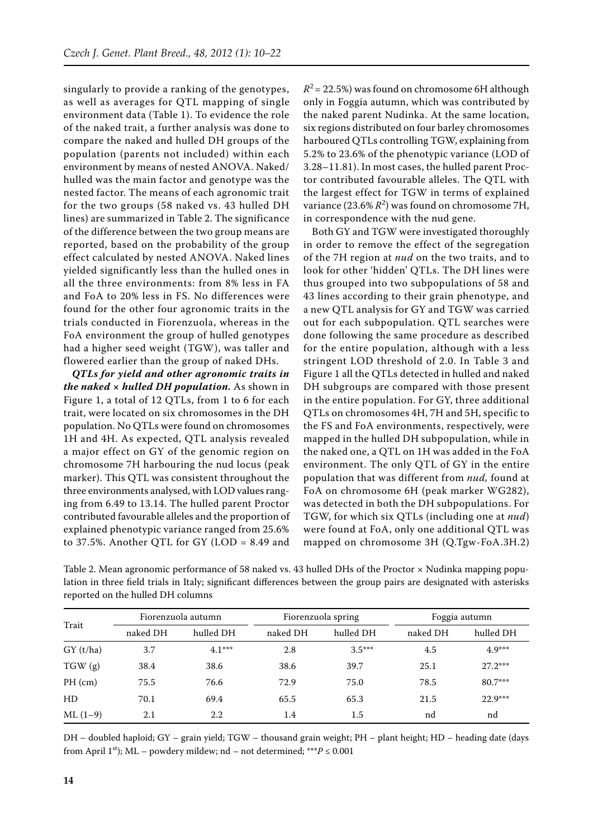singularly to provide a ranking of the genotypes, as well as averages for QTL mapping of single environment data (Table 1). To evidence the role of the naked trait, a further analysis was done to compare the naked and hulled DH groups of the population (parents not included) within each environment by means of nested ANOVA. Naked/ hulled was the main factor and genotype was the nested factor. The means of each agronomic trait for the two groups (58 naked vs. 43 hulled DH lines) are summarized in Table 2. The significance of the difference between the two group means are reported, based on the probability of the group effect calculated by nested ANOVA. Naked lines yielded significantly less than the hulled ones in all the three environments: from 8% less in FA and FoA to 20% less in FS. No differences were found for the other four agronomic traits in the trials conducted in Fiorenzuola, whereas in the FoA environment the group of hulled genotypes had a higher seed weight (TGW), was taller and flowered earlier than the group of naked DHs.

*QTLs for yield and other agronomic traits in the naked × hulled DH population.* As shown in Figure 1, a total of 12 QTLs, from 1 to 6 for each trait, were located on six chromosomes in the DH population. No QTLs were found on chromosomes 1H and 4H. As expected, QTL analysis revealed a major effect on GY of the genomic region on chromosome 7H harbouring the nud locus (peak marker). This QTL was consistent throughout the three environments analysed, with LOD values ranging from 6.49 to 13.14. The hulled parent Proctor contributed favourable alleles and the proportion of explained phenotypic variance ranged from 25.6% to 37.5%. Another QTL for GY (LOD =  $8.49$  and  $R^2$  = 22.5%) was found on chromosome 6H although only in Foggia autumn, which was contributed by the naked parent Nudinka. At the same location, six regions distributed on four barley chromosomes harboured QTLs controlling TGW, explaining from 5.2% to 23.6% of the phenotypic variance (LOD of 3.28–11.81). In most cases, the hulled parent Proctor contributed favourable alleles. The QTL with the largest effect for TGW in terms of explained variance  $(23.6\% R^2)$  was found on chromosome 7H, in correspondence with the nud gene.

Both GY and TGW were investigated thoroughly in order to remove the effect of the segregation of the 7H region at *nud* on the two traits, and to look for other 'hidden' QTLs. The DH lines were thus grouped into two subpopulations of 58 and 43 lines according to their grain phenotype, and a new QTL analysis for GY and TGW was carried out for each subpopulation. QTL searches were done following the same procedure as described for the entire population, although with a less stringent LOD threshold of 2.0. In Table 3 and Figure 1 all the QTLs detected in hulled and naked DH subgroups are compared with those present in the entire population. For GY, three additional QTLs on chromosomes 4H, 7H and 5H, specific to the FS and FoA environments, respectively, were mapped in the hulled DH subpopulation, while in the naked one, a QTL on 1H was added in the FoA environment. The only QTL of GY in the entire population that was different from *nud,* found at FoA on chromosome 6H (peak marker WG282), was detected in both the DH subpopulations. For TGW, for which six QTLs (including one at *nud*) were found at FoA, only one additional QTL was mapped on chromosome 3H (Q.Tgw-FoA.3H.2)

|           | reported on the numed DTT columns |                    |          |                    |          |               |
|-----------|-----------------------------------|--------------------|----------|--------------------|----------|---------------|
|           |                                   | Fiorenzuola autumn |          | Fiorenzuola spring |          | Foggia autumn |
| Trait     | naked DH                          | hulled DH          | naked DH | hulled DH          | naked DH | hulled DH     |
| GY(t/ha)  | 3.7                               | $4.1***$           | 2.8      | $3.5***$           | 4.5      | $4.9***$      |
| TGW(g)    | 38.4                              | 38.6               | 38.6     | 39.7               | 25.1     | $27.2***$     |
| $PH$ (cm) | 75.5                              | 76.6               | 72.9     | 75.0               | 78.5     | $80.7***$     |

Table 2. Mean agronomic performance of 58 naked vs. 43 hulled DHs of the Proctor × Nudinka mapping population in three field trials in Italy; significant differences between the group pairs are designated with asterisks reported on the hulled DH columns

DH – doubled haploid; GY – grain yield; TGW – thousand grain weight; PH – plant height; HD – heading date (days from April  $1^{st}$ ); ML – powdery mildew; nd – not determined; \*\*\* $P \le 0.001$ 

HD 70.1 69.4 65.5 65.3 21.5 22.9\*\*\* ML (1–9) 2.1 2.2 1.4 1.5 nd nd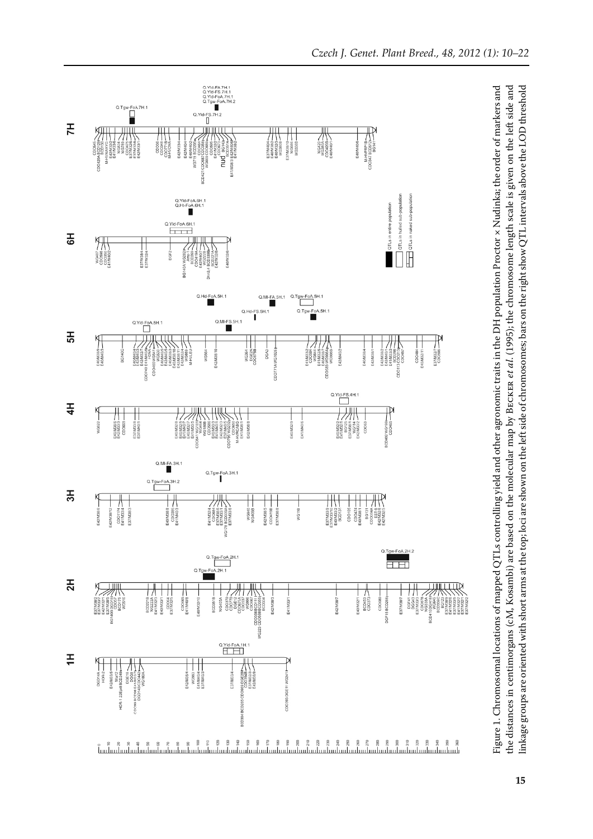

the distances in centimorgans (cM, Kosambi) are based on the molecular map by Becker *et al*. (1995); the chromosome length scale is given on the left side and Figure 1. Chromosomal locations of mapped QTLs controlling yield and other agronomic traits in the DH population Proctor × Nudinka; the order of markers and inkage groups are oriented with short arms at the top; loci are shown on the left side of chromosomes; bars on the right show QTL intervals above the LOD threshold Figure 1. Chromosomal locations of mapped QTLs controlling yield and other agronomic traits in the DH population Proctor × Nudinka; the order of markers and the distances in centimorgans (cM, Kosambi) are based on the molecular map by BECKER et al. (1995); the chromosome length scale is given on the left side and linkage groups are oriented with short arms at the top; loci are shown on the left side of chromosomes; bars on the right show QTL intervals above the LOD threshold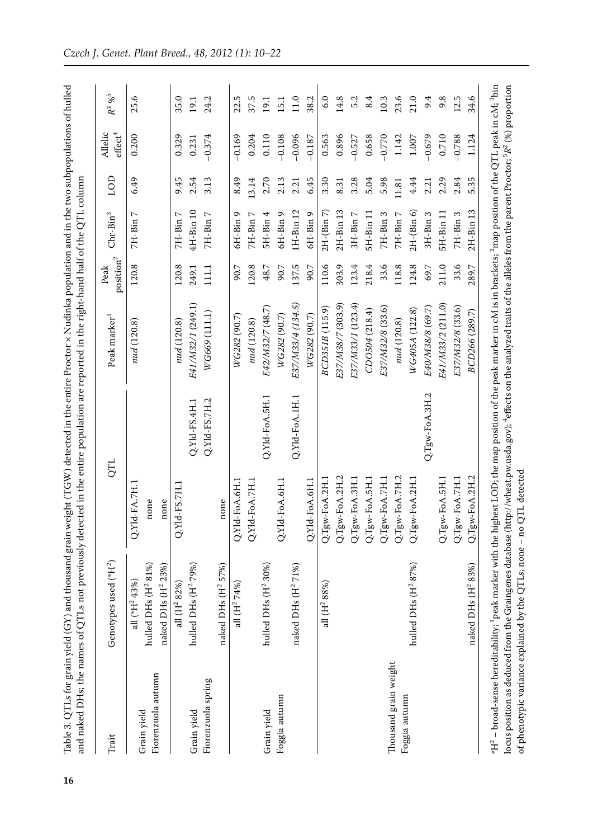| $-20.112$<br>$\frac{5}{2}$<br>;<br>;<br>;<br>しょ /T/ いい<br>.<br>.<br>.<br>l<br>こうこくしつ<br>・・・・・<br>Table 3. $OPT$ c for anin vic<br>$\mathbf{1}$ | $\sim$<br>i<br>C<br>.<br>.<br>.<br>.<br>.<br>י<br>י<br>Ī<br>$-124 - 124$<br>tre nomistion are reported in the right has<br>Portion in the<br>tected in the entire population are repr-<br>a names of OTI s not previc<br>and naked DHc.+-<br>$\frac{1}{2}$ |
|------------------------------------------------------------------------------------------------------------------------------------------------|------------------------------------------------------------------------------------------------------------------------------------------------------------------------------------------------------------------------------------------------------------|
|------------------------------------------------------------------------------------------------------------------------------------------------|------------------------------------------------------------------------------------------------------------------------------------------------------------------------------------------------------------------------------------------------------------|

| Trait                                  | Genotypes used (*H <sup>2</sup> ) |                    | QTL              | Peak marker <sup>1</sup> | $\rm position^2$<br>Peak | $Chr-Bin3$   | LOD   | $\rm{effect}^4$<br>Allelic | $R^2\%^5$ |
|----------------------------------------|-----------------------------------|--------------------|------------------|--------------------------|--------------------------|--------------|-------|----------------------------|-----------|
|                                        | all (*H <sup>2</sup> 43%)         | Q.Yld-FA.7H.1      |                  | nud (120.8)              | 120.8                    | 7H-Bin7      | 6.49  | 0.200                      | 25.6      |
| Grain yield                            | hulled DHs (H <sup>2</sup> 81%)   | none               |                  |                          |                          |              |       |                            |           |
| Fiorenzuola autumn                     | naked DHs (H <sup>2</sup> 23%)    | none               |                  |                          |                          |              |       |                            |           |
|                                        | all (H <sup>2</sup> 82%)          | Q.Yld-FS.7H.1      |                  | nud (120.8)              | 120.8                    | 7H-Bin 7     | 9.45  | 0.329                      | 35.0      |
| Grain yield                            | hulled DHs (H <sup>2</sup> 79%)   |                    | Q.Yld-FS.4H.1    | E41/M32/1 (249.1)        | 249.1                    | 4H-Bin 10    | 2.54  | 0.231                      | 19.1      |
| Fiorenzuola spring                     |                                   |                    | Q.Yld-FS.7H.2    | WG669(111.1)             | 111.1                    | 7H-Bin 7     | 3.13  | $-0.374$                   | 24.2      |
|                                        | naked DHs (H <sup>2</sup> 57%)    | none               |                  |                          |                          |              |       |                            |           |
|                                        | all (H <sup>2</sup> 74%)          | Q.Yld-FoA.6H.1     |                  | WG282 (90.7)             | 90.7                     | 6H-Bin 9     | 8.49  | $-0.169$                   | 22.5      |
|                                        |                                   | FoA.7H.1<br>Q.Yld- |                  | nud (120.8)              | 120.8                    | 7H-Bin 7     | 3.14  | 0.204                      | 37.5      |
| Grain yield                            | hulled DHs (H <sup>2</sup> 30%)   |                    | Q.Yld-FoA.5H.1   | E42/M32/7 (48.7)         | 48.7                     | $5H-Bin4$    | 2.70  | 0.110                      | 19.1      |
| Foggia autumn                          |                                   | FoA.6H.1<br>Q.Yld- |                  | WG282 (90.7)             | 90.7                     | $6H-Bin9$    | 2.13  | $-0.108$                   | 15.1      |
|                                        | naked DHs (H <sup>2</sup> 71%)    |                    | Q.Y1d-FoA.1H.1   | E37/M33/4 (134.5)        | 137.5                    | 1H-Bin 12    | 2.21  | $-0.096$                   | 11.0      |
|                                        |                                   | FoA.6H.1<br>Q.Yld- |                  | WG282 (90.7)             | 90.7                     | 6H-Bin 9     | 6.45  | $-0.187$                   | 38.2      |
|                                        | all ( $H^2 88\%$ )                | $Q.Tgw-FoA.2H.1$   |                  | BCD351B (115.9)          | 110.6                    | 2H-(Bin 7)   | 3.30  | 0.563                      | 6.0       |
|                                        |                                   | $Q.Tgw-FoA.2H.2$   |                  | E37/M38/7 (303.9)        | 303.9                    | 2H-Bin 13    | 8.31  | 0.896                      | 14.8      |
|                                        |                                   | $Q.Tgw-FoA.3H.1$   |                  | E37/M33/1 (123.4)        | 123.4                    | 3H-Bin7      | 3.28  | $-0.527$                   | 5.2       |
|                                        |                                   | $Q.Tgw-FoA.5H.1$   |                  | CDO504 (218.4)           | 218.4                    | 5H-Bin 11    | 5.04  | 0.658                      | 8.4       |
|                                        |                                   | $Q.Tgw-FoA.7H.1$   |                  | E37/M32/8 (33.6)         | 33.6                     | 7H-Bin 3     | 5.98  | $-0.770$                   | $10.3\,$  |
| Thousand grain weight<br>Foggia autumn |                                   | Q.Tgw-FoA.7H.2     |                  | nud (120.8)              | 118.8                    | 7H-Bin 7     | 11.81 | 1.142                      | 23.6      |
|                                        | hulled DHs (H <sup>2</sup> 87%)   | Q.Tgw-FoA.2H.1     |                  | WG405A (122.8)           | 124.8                    | $2H-(Bin 6)$ | 4.44  | 1.007                      | 21.0      |
|                                        |                                   |                    | $Q.Tgw-FoA.3H.2$ | E40/M38/8 (69.7)         | 69.7                     | 3H-Bin 3     | 2.21  | $-0.679$                   | 9.4       |
|                                        |                                   | $Q.Tgw-FoA.5H.1$   |                  | E41/M33/2 (211.0)        | 211.0                    | 5H-Bin 11    | 2.29  | 0.710                      | 9.8       |
|                                        |                                   | $Q.Tgw-FoA.7H.1$   |                  | E37/M32/8 (33.6)         | 33.6                     | 7H-Bin 3     | 2.84  | $-0.788$                   | 12.5      |
|                                        | naked DHs (H <sup>2</sup> 83%)    | Q.Tgw-FoA.2H.2     |                  | BCD266 (289.7)           | 289.7                    | 2H-Bin 13    | 5.35  | 1.124                      | 34.6      |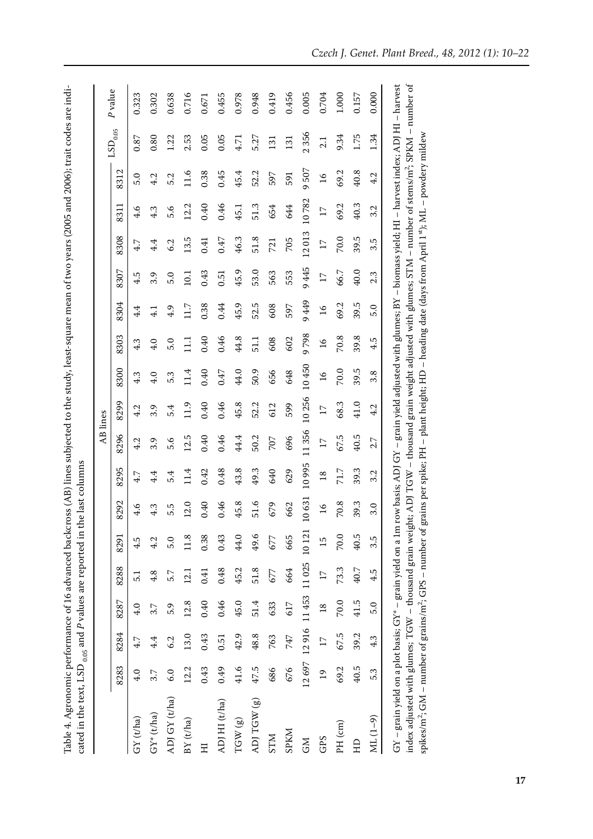Table 4. Agronomic performance of 16 advanced backcross (AB) lines subjected to the study, least-square mean of two years (2005 and 2006); trait codes are indi-Table 4. Agronomic performance of 16 advanced backcross (AB) lines subjected to the study, least-square mean of two years (2005 and 2006); trait codes are indicated in the text, LSD  $_{0.05}$  and  $P$  values are reported in the last columns cated in the text, LSD  $_{0.05}$  and *P* values are reported in the last columns

|                                                                                                                                                                                                                                            |               |       |               |                 |      |               |       | AB lines |       |               |               |                 |      |          |               |                 |                                                                                                                |         |
|--------------------------------------------------------------------------------------------------------------------------------------------------------------------------------------------------------------------------------------------|---------------|-------|---------------|-----------------|------|---------------|-------|----------|-------|---------------|---------------|-----------------|------|----------|---------------|-----------------|----------------------------------------------------------------------------------------------------------------|---------|
|                                                                                                                                                                                                                                            | 8283          | 8284  | 8287          | 8288            | 8291 | 8292          | 8295  | 8296     | 8299  | 8300          | 8303          | 8304            | 8307 | 8308     | 8311          | 8312            | $\mathrm{LSD}_{0.05}$                                                                                          | P value |
| GY(t/ha)                                                                                                                                                                                                                                   | $\frac{4}{1}$ | $4.7$ | $\frac{4}{1}$ | 5.1             | 4.5  | 9.∱           | 4.7   | 4.2      | 4.2   | 4.3           | 4.3           | 4.<br>4         | 4.5  | 4.7      | $\frac{6}{4}$ | 5.0             | 0.87                                                                                                           | 0.323   |
| $GY^*(t/ha)$                                                                                                                                                                                                                               | 3.7           | 4.4   | 3.7           | 4.8             | 4.2  | 4.3           | 4.4   | 3.9      | 3.9   | 4.0           | 4.0           | $\frac{1}{4}$   | 3.9  | $4\cdot$ | 4.3           | 4.2             | 0.80                                                                                                           | 0.302   |
| ADJ GY (t/ha)                                                                                                                                                                                                                              | 6.0           | 6.2   | 5.9           | 5.7             | 5.0  | 5.5           | 5.4   | 5.6      | 5.4   | 5.3           | 5.0           | 4.9             | 5.0  | 6.2      | 5.6           | 5.2             | 1.22                                                                                                           | 0.638   |
| BY(t/ha)                                                                                                                                                                                                                                   | 12.2          | 13.0  | 12.8          | 12.1            | 11.8 | 12.0          | 11.4  | 12.5     | 11.9  | 11.4          | $\Xi$         | 11.7            | 10.1 | 13.5     | 12.2          | 11.6            | 2.53                                                                                                           | 0.716   |
| Ξ                                                                                                                                                                                                                                          | 0.43          | 0.43  | 0.40          | 0.41            | 0.38 | 0.40          | 0.42  | 0.40     | 0.40  | 0.40          | 0.40          | 0.38            | 0.43 | 0.41     | 0.40          | 0.38            | 0.05                                                                                                           | 0.671   |
| ADJ HI (t/ha)                                                                                                                                                                                                                              | 0.49          | 0.51  | 0.46          | 0.48            | 0.43 | 0.46          | 0.48  | 0.46     | 0.46  | 0.47          | 0.46          | 0.44            | 0.51 | 0.47     | 0.46          | 0.45            | 0.05                                                                                                           | 0.455   |
| TGW (g)                                                                                                                                                                                                                                    | 41.6          | 42.9  | 45.0          | 45.2            | 44.0 | 45.8          | 43.8  | 44.4     | 45.8  | 44.0          | 44.8          | 45.9            | 45.9 | 46.3     | 45.1          | 45.4            | 4.71                                                                                                           | 0.978   |
| ADJ TGW (g)                                                                                                                                                                                                                                | 47.5          | 48.8  | 51.4          | 51.8            | 49.6 | 51.6          | 49.3  | 50.2     | 52.2  | 50.9          | 51.1          | 52.5            | 53.0 | 51.8     | 51.3          | 52.2            | 5.27                                                                                                           | 0.948   |
| <b>NTS</b>                                                                                                                                                                                                                                 | 686           | 763   | 633           | 677             | 677  | 679           | 640   | 707      | 612   | 656           | 608           | 608             | 563  | 721      | 654           | 597             | 131                                                                                                            | 0.419   |
| <b>SPKM</b>                                                                                                                                                                                                                                | 676           | 747   | 617           | 664             | 665  | 662           | 629   | 696      | 599   | 648           | 602           | 597             | 553  | 705      | 644           | 591             | 131                                                                                                            | 0.456   |
| <b>KP</b>                                                                                                                                                                                                                                  | 12697         |       | 12916 11453   | 11 025 10 121   |      | 10631         | 10995 | 11356    | 10256 | 10450         | 9798          | 9449            | 9445 | 12013    | 10782         | 9507            | 2356                                                                                                           | 0.005   |
| GPS                                                                                                                                                                                                                                        | 19            | 17    | 18            | $\overline{17}$ | 15   | $\frac{6}{1}$ | 18    | 17       | 17    | $\frac{6}{1}$ | $\frac{6}{1}$ | $\overline{16}$ | 17   | 17       | 17            | $\overline{16}$ | 2.1                                                                                                            | 0.704   |
| PH (cm)                                                                                                                                                                                                                                    | 69.2          | 67.5  | 70.0          | 73.3            | 70.0 | 70.8          | 71.7  | 67.5     | 68.3  | 70.0          | 70.8          | 69.2            | 66.7 | 70.0     | 69.2          | 69.2            | 9.34                                                                                                           | 1.000   |
| $\Xi$                                                                                                                                                                                                                                      | 40.5          | 39.2  | 41.5          | 40.7            | 40.5 | 39.3          | 39.3  | 40.5     | 41.0  | 39.5          | 39.8          | 39.5            | 40.0 | 39.5     | 40.3          | 40.8            | 1.75                                                                                                           | 0.157   |
| $ML(1-9)$                                                                                                                                                                                                                                  | 5.3           | 4.3   | 5.0           | 4.5             | 3.5  | 3.0           | 3.2   | 2.7      | 4.2   | 3.8           | 4.5           | 5.0             | 2.3  | 3.5      | 3.2           | 4.2             | 1.34                                                                                                           | 0.000   |
| index adjusted with glumes; TGW – thousand grain weight; ADJ TGW – thousand grain weight adjusted with glumes; STM – number of stems/m <sup>2</sup> ; SPKM – number of<br>$GY - grain$ yield on a plot basis; $GY^* - grain$ yield on a 1m |               |       |               |                 |      |               |       |          |       |               |               |                 |      |          |               |                 | row basis; ADJ GY – grain yield adjusted with glumes; BY – biomass yield; HI – harvest index; ADJ HI – harvest |         |

 $splitses/m^2$ ; GM – number of grains/m<sup>2</sup>; GPS – number of grains per spike; PH – plant height; HD – heading date (days from April 1s<sup>t</sup>); ML – powdery mildew

spikes/m<sup>2</sup>; GM - number of grains/m<sup>2</sup>; GPS - number of grains per spike; PH - plant height; HD - heading date (days from April 1s<sup>t</sup>); ML - powdery mildew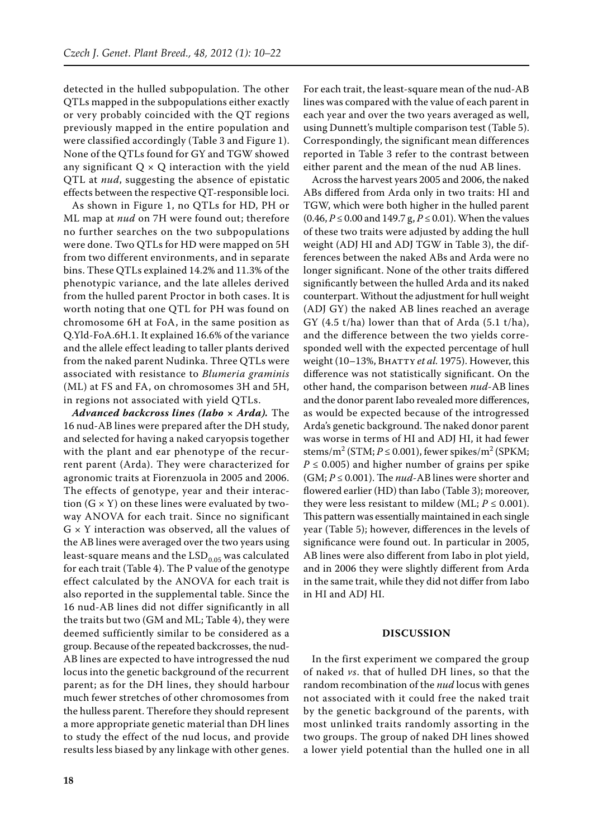detected in the hulled subpopulation. The other QTLs mapped in the subpopulations either exactly or very probably coincided with the QT regions previously mapped in the entire population and were classified accordingly (Table 3 and Figure 1). None of the QTLs found for GY and TGW showed any significant  $Q \times Q$  interaction with the yield QTL at *nud*, suggesting the absence of epistatic effects between the respective QT-responsible loci.

As shown in Figure 1, no QTLs for HD, PH or ML map at *nud* on 7H were found out; therefore no further searches on the two subpopulations were done. Two QTLs for HD were mapped on 5H from two different environments, and in separate bins. These QTLs explained 14.2% and 11.3% of the phenotypic variance, and the late alleles derived from the hulled parent Proctor in both cases. It is worth noting that one QTL for PH was found on chromosome 6H at FoA, in the same position as Q.Yld-FoA.6H.1. It explained 16.6% of the variance and the allele effect leading to taller plants derived from the naked parent Nudinka. Three QTLs were associated with resistance to *Blumeria graminis* (ML) at FS and FA, on chromosomes 3H and 5H, in regions not associated with yield QTLs.

*Advanced backcross lines (Iabo × Arda).* The 16 nud-AB lines were prepared after the DH study, and selected for having a naked caryopsis together with the plant and ear phenotype of the recurrent parent (Arda). They were characterized for agronomic traits at Fiorenzuola in 2005 and 2006. The effects of genotype, year and their interaction  $(G \times Y)$  on these lines were evaluated by twoway ANOVA for each trait. Since no significant  $G \times Y$  interaction was observed, all the values of the AB lines were averaged over the two years using least-square means and the  $\mathrm{LSD}_{0.05}$  was calculated for each trait (Table 4). The P value of the genotype effect calculated by the ANOVA for each trait is also reported in the supplemental table. Since the 16 nud-AB lines did not differ significantly in all the traits but two (GM and ML; Table 4), they were deemed sufficiently similar to be considered as a group. Because of the repeated backcrosses, the nud-AB lines are expected to have introgressed the nud locus into the genetic background of the recurrent parent; as for the DH lines, they should harbour much fewer stretches of other chromosomes from the hulless parent. Therefore they should represent a more appropriate genetic material than DH lines to study the effect of the nud locus, and provide results less biased by any linkage with other genes.

For each trait, the least-square mean of the nud-AB lines was compared with the value of each parent in each year and over the two years averaged as well, using Dunnett's multiple comparison test (Table 5). Correspondingly, the significant mean differences reported in Table 3 refer to the contrast between either parent and the mean of the nud AB lines.

Across the harvest years 2005 and 2006, the naked ABs differed from Arda only in two traits: HI and TGW, which were both higher in the hulled parent (0.46, *P* ≤ 0.00 and 149.7 g, *P* ≤ 0.01). When the values of these two traits were adjusted by adding the hull weight (ADJ HI and ADJ TGW in Table 3), the differences between the naked ABs and Arda were no longer significant. None of the other traits differed significantly between the hulled Arda and its naked counterpart. Without the adjustment for hull weight (ADJ GY) the naked AB lines reached an average GY (4.5 t/ha) lower than that of Arda (5.1 t/ha), and the difference between the two yields corresponded well with the expected percentage of hull weight (10-13%, Внатту et al. 1975). However, this difference was not statistically significant. On the other hand, the comparison between *nud*-AB lines and the donor parent Iabo revealed more differences, as would be expected because of the introgressed Arda's genetic background. The naked donor parent was worse in terms of HI and ADJ HI, it had fewer stems/m<sup>2</sup> (STM;  $P \le 0.001$ ), fewer spikes/m<sup>2</sup> (SPKM;  $P \leq 0.005$ ) and higher number of grains per spike (GM; *P* ≤ 0.001). The *nud*-AB lines were shorter and flowered earlier (HD) than Iabo (Table 3); moreover, they were less resistant to mildew (ML;  $P \leq 0.001$ ). This pattern was essentially maintained in each single year (Table 5); however, differences in the levels of significance were found out. In particular in 2005, AB lines were also different from Iabo in plot yield, and in 2006 they were slightly different from Arda in the same trait, while they did not differ from Iabo in HI and ADJ HI.

### **DISCUSSION**

In the first experiment we compared the group of naked *vs*. that of hulled DH lines, so that the random recombination of the *nud* locus with genes not associated with it could free the naked trait by the genetic background of the parents, with most unlinked traits randomly assorting in the two groups. The group of naked DH lines showed a lower yield potential than the hulled one in all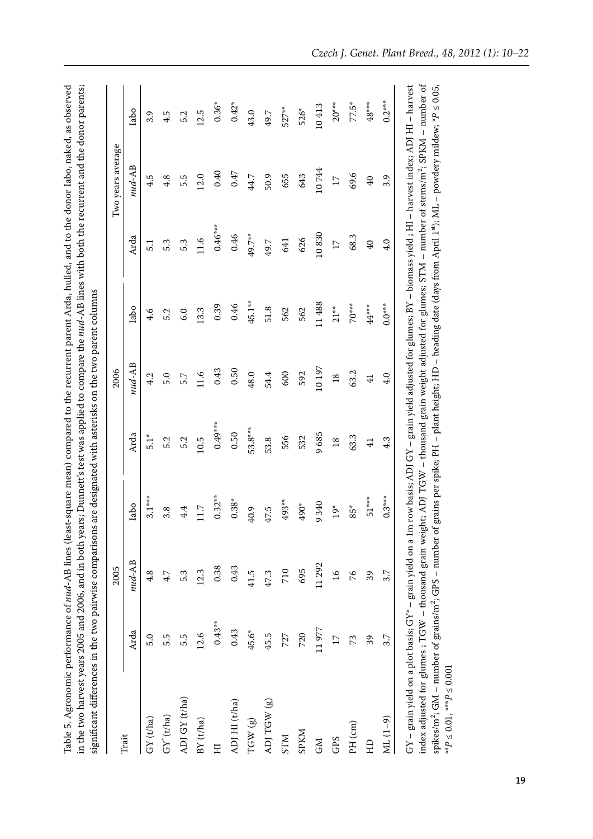| ast-square mean) compared to the recurrent parent Arda, hulled, and to the donor Iabo, naked, as observed | ears; Dunnett's test was applied to compare the <i>nud-AB</i> lines with both the recurrent and the donor parents; |                                                                                                                      |
|-----------------------------------------------------------------------------------------------------------|--------------------------------------------------------------------------------------------------------------------|----------------------------------------------------------------------------------------------------------------------|
| able 5. Agronomic performance of <i>nud</i> -AB lines (lea.                                               | in the two harvest years 2005 and 2006, and in both yea                                                            | ns are designated with asterisks on the two parent columns<br>ignificant differences in the two pairwise comparison: |
|                                                                                                           |                                                                                                                    |                                                                                                                      |

| Trait                                                                                                                                                                                                                                                                                                                                                                                                                                                                        |                 | 2005          |           |                 | 2006            |            |                                                                                                                            | Two years average |          |
|------------------------------------------------------------------------------------------------------------------------------------------------------------------------------------------------------------------------------------------------------------------------------------------------------------------------------------------------------------------------------------------------------------------------------------------------------------------------------|-----------------|---------------|-----------|-----------------|-----------------|------------|----------------------------------------------------------------------------------------------------------------------------|-------------------|----------|
|                                                                                                                                                                                                                                                                                                                                                                                                                                                                              | Arda            | nud-AB        | Iabo      | Arda            | nud-AB          | Iabo       | Arda                                                                                                                       | nud-AB            | labo     |
| GY(t/ha)                                                                                                                                                                                                                                                                                                                                                                                                                                                                     | 5.0             | 4.8           | $3.1***$  | $\frac{1}{5}$ . | 4.2             | $\ddot{q}$ | 5.1                                                                                                                        | 4.5               | 3.9      |
| $GY^*(t/ha)$                                                                                                                                                                                                                                                                                                                                                                                                                                                                 | 5.5             | $4.7$         | 3.8       | 5.2             | 5.0             | 5.2        | 5.3                                                                                                                        | 4.8               | 4.5      |
| ADJ GY (t/ha)                                                                                                                                                                                                                                                                                                                                                                                                                                                                | 5.5             | 5.3           | 4.4       | 5.2             | 5.7             | 6.0        | 5.3                                                                                                                        | 5.5               | 5.2      |
| BY(t/ha)                                                                                                                                                                                                                                                                                                                                                                                                                                                                     | 12.6            | 12.3          | 11.7      | 10.5            | 11.6            | 13.3       | 11.6                                                                                                                       | 12.0              | 12.5     |
| Ξ                                                                                                                                                                                                                                                                                                                                                                                                                                                                            | $0.43***$       | 0.38          | $0.32***$ | $0.49***$       | 0.43            | 0.39       | $0.46***$                                                                                                                  | 0.40              | $0.36*$  |
| ADJ HI (t/ha)                                                                                                                                                                                                                                                                                                                                                                                                                                                                | 0.43            | 0.43          | $0.38*$   | 0.50            | 0.50            | 0.46       | 0.46                                                                                                                       | 0.47              | $0.42*$  |
| TGW (g)                                                                                                                                                                                                                                                                                                                                                                                                                                                                      | $45.6*$         | $41.5$        | 40.9      | 53.8***         | 48.0            | 45.1**     | 49.7**                                                                                                                     | 44.7              | 43.0     |
| ADJ TGW (g)                                                                                                                                                                                                                                                                                                                                                                                                                                                                  | 45.5            | 47.3          | 47.5      | 53.8            | 54.4            | 51.8       | 49.7                                                                                                                       | 50.9              | 49.7     |
| <b>NLS</b>                                                                                                                                                                                                                                                                                                                                                                                                                                                                   | 727             | 710           | 493**     | 556             | 600             | 562        | 641                                                                                                                        | 655               | 527**    |
| <b>SPKM</b>                                                                                                                                                                                                                                                                                                                                                                                                                                                                  | 720             | 695           | 490*      | 532             | 592             | 562        | 626                                                                                                                        | 643               | 526*     |
| <b>GM</b>                                                                                                                                                                                                                                                                                                                                                                                                                                                                    | 11977           | 11292         | 9340      | 9685            | 10197           | 11488      | 10830                                                                                                                      | 10744             | 10413    |
| GPS                                                                                                                                                                                                                                                                                                                                                                                                                                                                          | $\overline{17}$ | $\frac{6}{1}$ | $19*$     | 18              | 18              | $21**$     | $\overline{17}$                                                                                                            | 17                | $20***$  |
| PH (cm)                                                                                                                                                                                                                                                                                                                                                                                                                                                                      | 73              | 76            | 85*       | 63.3            | 63.2            | 70***      | 68.3                                                                                                                       | 69.6              | 77.5*    |
| H <sub>1</sub>                                                                                                                                                                                                                                                                                                                                                                                                                                                               | 39              | 39            | $51***$   | $\frac{1}{4}$   | $\overline{41}$ | $44**$     | $\overline{40}$                                                                                                            | $\overline{40}$   | $48***$  |
| $ML(1-9)$                                                                                                                                                                                                                                                                                                                                                                                                                                                                    | 3.7             | 3.7           | $0.3***$  | 4.3             | $\frac{4}{1}$   | $0.0***$   | $\frac{4}{1}$                                                                                                              | 3.9               | $0.2***$ |
| index adjusted for glumes ; TGW – thousand grain weight; ADJ TGW – thousand grain weight adjusted for glumes; STM – number of stems/m <sup>2</sup> ; SPKM – number of<br>GY – grain yield on a plot basis; GY* – grain yield on a 1m row basis; ADJ GY – grain yield adjusted for glumes; BY – biomass yield ; H1 – harvest index; ADJ H1 – harvest<br>spikes/m <sup>2</sup> ; GM - number of grains/m <sup>2</sup> ; GPS - number of<br>** $P \le 0.01$ , *** $P \le 0.001$ |                 |               |           |                 |                 |            | grains per spike; PH - plant height; HD - heading date (days from April 1 <sup>st</sup> ); ML - powdery mildew; *P ≤ 0.05, |                   |          |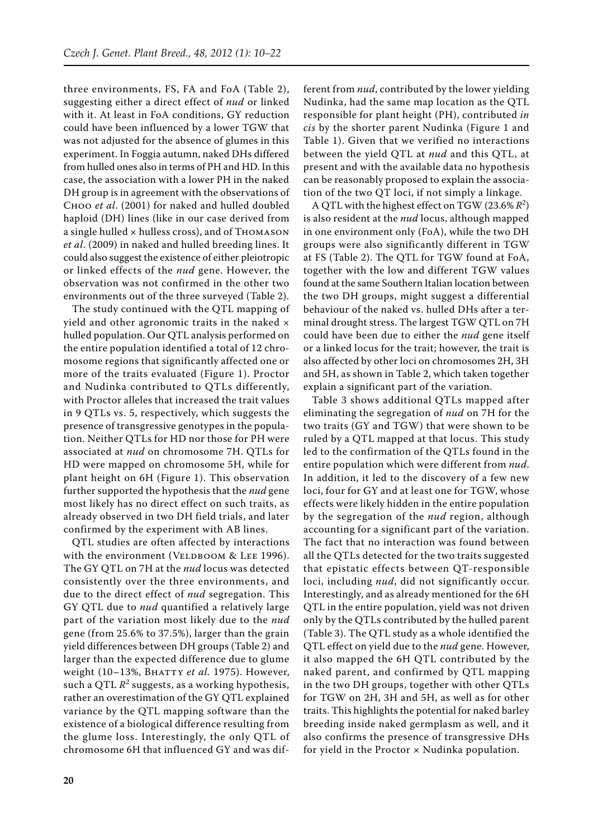three environments, FS, FA and FoA (Table 2), suggesting either a direct effect of *nud* or linked with it. At least in FoA conditions, GY reduction could have been influenced by a lower TGW that was not adjusted for the absence of glumes in this experiment. In Foggia autumn, naked DHs differed from hulled ones also in terms of PH and HD. In this case, the association with a lower PH in the naked DH group is in agreement with the observations of Choo *et al*. (2001) for naked and hulled doubled haploid (DH) lines (like in our case derived from a single hulled  $\times$  hulless cross), and of THOMASON *et al*. (2009) in naked and hulled breeding lines. It could also suggest the existence of either pleiotropic or linked effects of the *nud* gene. However, the observation was not confirmed in the other two environments out of the three surveyed (Table 2).

The study continued with the QTL mapping of yield and other agronomic traits in the naked  $\times$ hulled population. Our QTL analysis performed on the entire population identified a total of 12 chromosome regions that significantly affected one or more of the traits evaluated (Figure 1). Proctor and Nudinka contributed to QTLs differently, with Proctor alleles that increased the trait values in 9 QTLs vs. 5, respectively, which suggests the presence of transgressive genotypes in the population. Neither QTLs for HD nor those for PH were associated at *nud* on chromosome 7H. QTLs for HD were mapped on chromosome 5H, while for plant height on 6H (Figure 1). This observation further supported the hypothesis that the *nud* gene most likely has no direct effect on such traits, as already observed in two DH field trials, and later confirmed by the experiment with AB lines.

QTL studies are often affected by interactions with the environment (VELDBOOM  $&$  LEE 1996). The GY QTL on 7H at the *nud* locus was detected consistently over the three environments, and due to the direct effect of *nud* segregation. This GY QTL due to *nud* quantified a relatively large part of the variation most likely due to the *nud* gene (from 25.6% to 37.5%), larger than the grain yield differences between DH groups (Table 2) and larger than the expected difference due to glume weight (10–13%, Bhatty *et al.* 1975). However, such a QTL  $R^2$  suggests, as a working hypothesis, rather an overestimation of the GY QTL explained variance by the QTL mapping software than the existence of a biological difference resulting from the glume loss. Interestingly, the only QTL of chromosome 6H that influenced GY and was different from *nud*, contributed by the lower yielding Nudinka, had the same map location as the QTL responsible for plant height (PH), contributed *in cis* by the shorter parent Nudinka (Figure 1 and Table 1). Given that we verified no interactions between the yield QTL at *nud* and this QTL, at present and with the available data no hypothesis can be reasonably proposed to explain the association of the two QT loci, if not simply a linkage.

A QTL with the highest effect on TGW  $(23.6\% R^2)$ is also resident at the *nud* locus, although mapped in one environment only (FoA), while the two DH groups were also significantly different in TGW at FS (Table 2). The QTL for TGW found at FoA, together with the low and different TGW values found at the same Southern Italian location between the two DH groups, might suggest a differential behaviour of the naked vs. hulled DHs after a terminal drought stress. The largest TGW QTL on 7H could have been due to either the *nud* gene itself or a linked locus for the trait; however, the trait is also affected by other loci on chromosomes 2H, 3H and 5H, as shown in Table 2, which taken together explain a significant part of the variation.

Table 3 shows additional QTLs mapped after eliminating the segregation of *nud* on 7H for the two traits (GY and TGW) that were shown to be ruled by a QTL mapped at that locus. This study led to the confirmation of the QTLs found in the entire population which were different from *nud*. In addition, it led to the discovery of a few new loci, four for GY and at least one for TGW, whose effects were likely hidden in the entire population by the segregation of the *nud* region, although accounting for a significant part of the variation. The fact that no interaction was found between all the QTLs detected for the two traits suggested that epistatic effects between QT-responsible loci, including *nud*, did not significantly occur. Interestingly, and as already mentioned for the 6H QTL in the entire population, yield was not driven only by the QTLs contributed by the hulled parent (Table 3). The QTL study as a whole identified the QTL effect on yield due to the *nud* gene. However, it also mapped the 6H QTL contributed by the naked parent, and confirmed by QTL mapping in the two DH groups, together with other QTLs for TGW on 2H, 3H and 5H, as well as for other traits. This highlights the potential for naked barley breeding inside naked germplasm as well, and it also confirms the presence of transgressive DHs for yield in the Proctor  $\times$  Nudinka population.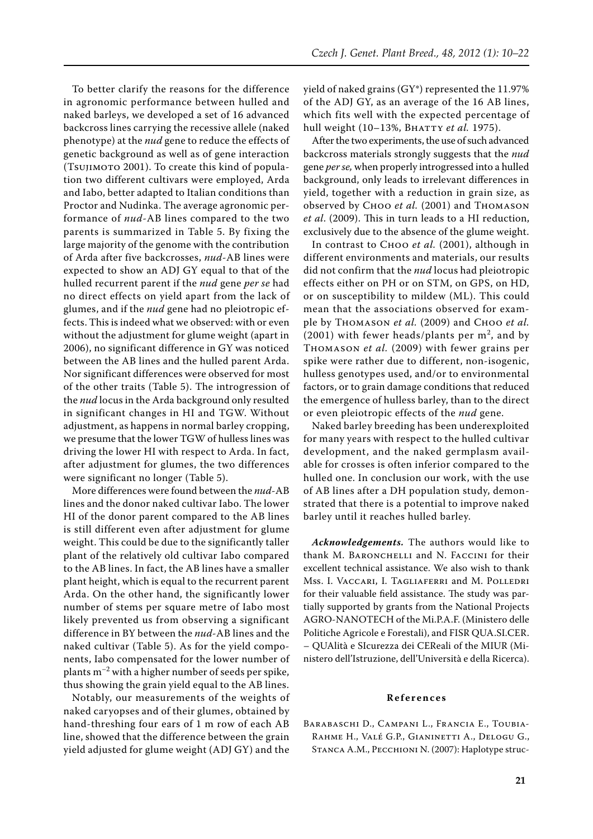To better clarify the reasons for the difference in agronomic performance between hulled and naked barleys, we developed a set of 16 advanced backcross lines carrying the recessive allele (naked phenotype) at the *nud* gene to reduce the effects of genetic background as well as of gene interaction (Tsujimoto 2001). To create this kind of population two different cultivars were employed, Arda and Iabo, better adapted to Italian conditions than Proctor and Nudinka. The average agronomic performance of *nud*-AB lines compared to the two parents is summarized in Table 5. By fixing the large majority of the genome with the contribution of Arda after five backcrosses, *nud*-AB lines were expected to show an ADJ GY equal to that of the hulled recurrent parent if the *nud* gene *per se* had no direct effects on yield apart from the lack of glumes, and if the *nud* gene had no pleiotropic effects. This is indeed what we observed: with or even without the adjustment for glume weight (apart in 2006), no significant difference in GY was noticed between the AB lines and the hulled parent Arda. Nor significant differences were observed for most of the other traits (Table 5). The introgression of the *nud* locus in the Arda background only resulted in significant changes in HI and TGW. Without adjustment, as happens in normal barley cropping, we presume that the lower TGW of hulless lines was driving the lower HI with respect to Arda. In fact, after adjustment for glumes, the two differences were significant no longer (Table 5).

More differences were found between the *nud*-AB lines and the donor naked cultivar Iabo. The lower HI of the donor parent compared to the AB lines is still different even after adjustment for glume weight. This could be due to the significantly taller plant of the relatively old cultivar Iabo compared to the AB lines. In fact, the AB lines have a smaller plant height, which is equal to the recurrent parent Arda. On the other hand, the significantly lower number of stems per square metre of Iabo most likely prevented us from observing a significant difference in BY between the *nud*-AB lines and the naked cultivar (Table 5). As for the yield components, Iabo compensated for the lower number of plants  $m^{-2}$  with a higher number of seeds per spike, thus showing the grain yield equal to the AB lines.

Notably, our measurements of the weights of naked caryopses and of their glumes, obtained by hand-threshing four ears of 1 m row of each AB line, showed that the difference between the grain yield adjusted for glume weight (ADJ GY) and the

yield of naked grains (GY\*) represented the 11.97% of the ADJ GY, as an average of the 16 AB lines, which fits well with the expected percentage of hull weight (10–13%, Bhatty *et al.* 1975).

After the two experiments, the use of such advanced backcross materials strongly suggests that the *nud* gene *per se,* when properly introgressed into a hulled background, only leads to irrelevant differences in yield, together with a reduction in grain size, as observed by Choo *et al.* (2001) and Thomason *et al*. (2009). This in turn leads to a HI reduction, exclusively due to the absence of the glume weight.

In contrast to Choo *et al.* (2001), although in different environments and materials, our results did not confirm that the *nud* locus had pleiotropic effects either on PH or on STM, on GPS, on HD, or on susceptibility to mildew (ML). This could mean that the associations observed for example by Thomason *et al.* (2009) and Choo *et al.*  $(2001)$  with fewer heads/plants per m<sup>2</sup>, and by Thomason *et al.* (2009) with fewer grains per spike were rather due to different, non-isogenic, hulless genotypes used, and/or to environmental factors, or to grain damage conditions that reduced the emergence of hulless barley, than to the direct or even pleiotropic effects of the *nud* gene.

Naked barley breeding has been underexploited for many years with respect to the hulled cultivar development, and the naked germplasm available for crosses is often inferior compared to the hulled one. In conclusion our work, with the use of AB lines after a DH population study, demonstrated that there is a potential to improve naked barley until it reaches hulled barley.

*Acknowledgements.* The authors would like to thank M. BARONCHELLI and N. FACCINI for their excellent technical assistance. We also wish to thank Mss. I. VACCARI, I. TAGLIAFERRI and M. POLLEDRI for their valuable field assistance. The study was partially supported by grants from the National Projects AGRO-NANOTECH of the Mi.P.A.F. (Ministero delle Politiche Agricole e Forestali), and FISR QUA.SI.CER. – QUAlità e SIcurezza dei CEReali of the MIUR (Ministero dell'Istruzione, dell'Università e della Ricerca).

#### **References**

Barabaschi D., Campani L., Francia E., Toubia-Rahme H., Valé G.P., Gianinetti A., Delogu G., Stanca A.M., Pecchioni N. (2007): Haplotype struc-